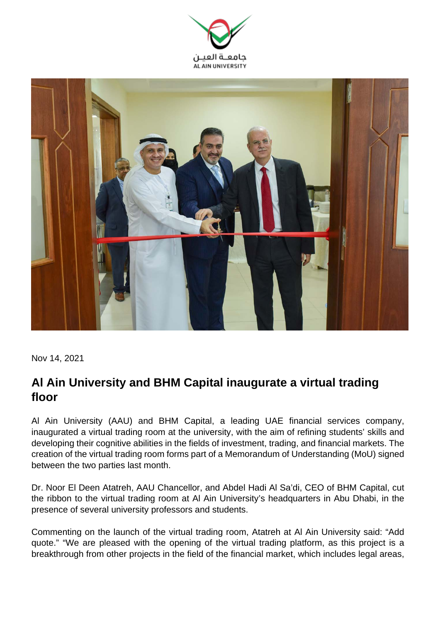



Nov 14, 2021

## **Al Ain University and BHM Capital inaugurate a virtual trading floor**

Al Ain University (AAU) and BHM Capital, a leading UAE financial services company, inaugurated a virtual trading room at the university, with the aim of refining students' skills and developing their cognitive abilities in the fields of investment, trading, and financial markets. The creation of the virtual trading room forms part of a Memorandum of Understanding (MoU) signed between the two parties last month.

Dr. Noor El Deen Atatreh, AAU Chancellor, and Abdel Hadi Al Sa'di, CEO of BHM Capital, cut the ribbon to the virtual trading room at Al Ain University's headquarters in Abu Dhabi, in the presence of several university professors and students.

Commenting on the launch of the virtual trading room, Atatreh at Al Ain University said: "Add quote." "We are pleased with the opening of the virtual trading platform, as this project is a breakthrough from other projects in the field of the financial market, which includes legal areas,